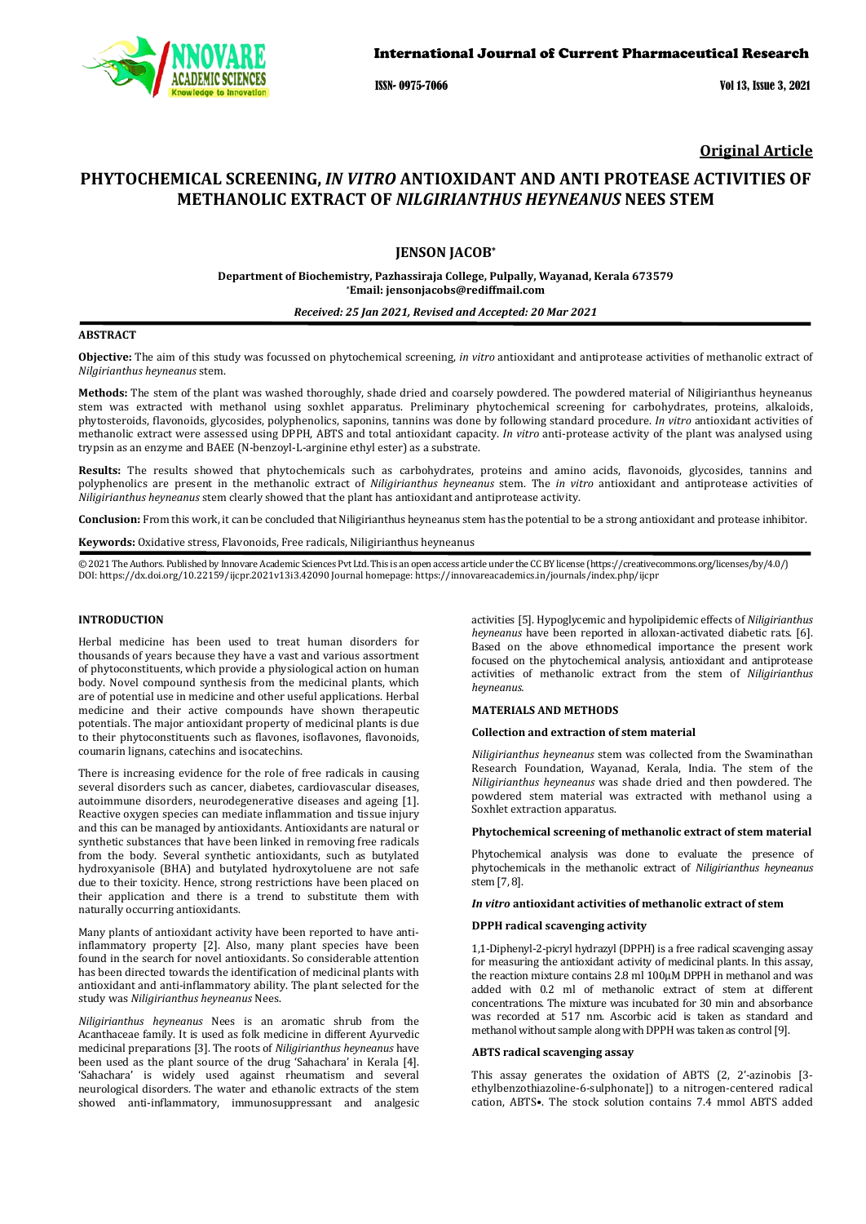

ISSN- 0975-7066 Vol 13, Issue 3, 2021

**Original Article**

# **PHYTOCHEMICAL SCREENING,** *IN VITRO* **ANTIOXIDANT AND ANTI PROTEASE ACTIVITIES OF METHANOLIC EXTRACT OF** *NILGIRIANTHUS HEYNEANUS* **NEES STEM**

## **JENSON JACOB\***

## **Department of Biochemistry, Pazhassiraja College, Pulpally, Wayanad, Kerala 673579 \*Email: jensonjacobs@rediffmail.com**

## *Received: 25 Jan 2021, Revised and Accepted: 20 Mar 2021*

## **ABSTRACT**

**Objective:** The aim of this study was focussed on phytochemical screening, *in vitro* antioxidant and antiprotease activities of methanolic extract of *Nilgirianthus heyneanus* stem.

**Methods:** The stem of the plant was washed thoroughly, shade dried and coarsely powdered. The powdered material of Niligirianthus heyneanus stem was extracted with methanol using soxhlet apparatus. Preliminary phytochemical screening for carbohydrates, proteins, alkaloids, phytosteroids, flavonoids, glycosides, polyphenolics, saponins, tannins was done by following standard procedure. *In vitro* antioxidant activities of methanolic extract were assessed using DPPH, ABTS and total antioxidant capacity. *In vitro* anti-protease activity of the plant was analysed using trypsin as an enzyme and BAEE (N-benzoyl-L-arginine ethyl ester) as a substrate.

**Results:** The results showed that phytochemicals such as carbohydrates, proteins and amino acids, flavonoids, glycosides, tannins and polyphenolics are present in the methanolic extract of *Niligirianthus heyneanus* stem. The *in vitro* antioxidant and antiprotease activities of *Niligirianthus heyneanus* stem clearly showed that the plant has antioxidant and antiprotease activity.

**Conclusion:** From this work, it can be concluded that Niligirianthus heyneanus stem has the potential to be a strong antioxidant and protease inhibitor.

**Keywords:** Oxidative stress, Flavonoids, Free radicals, Niligirianthus heyneanus

© 2021 The Authors. Published by Innovare Academic Sciences Pvt Ltd. This is an open access article under the CC BY license [\(https://creativecommons.org/licenses/by/4.0/\)](https://creativecommons.org/licenses/by/4.0/) DOI[: https://dx.doi.org/10.22159/ijcpr.2021v13i3.4](https://dx.doi.org/10.22159/ijcpr.2021v13i3)2090 Journal homepage[: https://innovareacademics.in/journals/index.php/ijcpr](https://innovareacademics.in/journals/index.php/ijcpr)

### **INTRODUCTION**

Herbal medicine has been used to treat human disorders for thousands of years because they have a vast and various assortment of phytoconstituents, which provide a physiological action on human body. Novel compound synthesis from the medicinal plants, which are of potential use in medicine and other useful applications. Herbal medicine and their active compounds have shown therapeutic potentials. The major antioxidant property of medicinal plants is due to their phytoconstituents such as flavones, isoflavones, flavonoids, coumarin lignans, catechins and isocatechins.

There is increasing evidence for the role of free radicals in causing several disorders such as cancer, diabetes, cardiovascular diseases, autoimmune disorders, neurodegenerative diseases and ageing [1]. Reactive oxygen species can mediate inflammation and tissue injury and this can be managed by antioxidants. Antioxidants are natural or synthetic substances that have been linked in removing free radicals from the body. Several synthetic antioxidants, such as butylated hydroxyanisole (BHA) and butylated hydroxytoluene are not safe due to their toxicity. Hence, strong restrictions have been placed on their application and there is a trend to substitute them with naturally occurring antioxidants.

Many plants of antioxidant activity have been reported to have antiinflammatory property [2]. Also, many plant species have been found in the search for novel antioxidants. So considerable attention has been directed towards the identification of medicinal plants with antioxidant and anti-inflammatory ability. The plant selected for the study was *Niligirianthus heyneanus* Nees.

*Niligirianthus heyneanus* Nees is an aromatic shrub from the Acanthaceae family. It is used as folk medicine in different Ayurvedic medicinal preparations [3]. The roots of *Niligirianthus heyneanus* have been used as the plant source of the drug 'Sahachara' in Kerala [4]. 'Sahachara' is widely used against rheumatism and several neurological disorders. The water and ethanolic extracts of the stem showed anti-inflammatory, immunosuppressant and analgesic

activities [5]. Hypoglycemic and hypolipidemic effects of *Niligirianthus heyneanus* have been reported in alloxan-activated diabetic rats. [6]. Based on the above ethnomedical importance the present work focused on the phytochemical analysis, antioxidant and antiprotease activities of methanolic extract from the stem of *Niligirianthus heyneanus.*

## **MATERIALS AND METHODS**

## **Collection and extraction of stem material**

*Niligirianthus heyneanus* stem was collected from the Swaminathan Research Foundation, Wayanad, Kerala, India. The stem of the *Niligirianthus heyneanus* was shade dried and then powdered. The powdered stem material was extracted with methanol using a Soxhlet extraction apparatus.

### **Phytochemical screening of methanolic extract of stem material**

Phytochemical analysis was done to evaluate the presence of phytochemicals in the methanolic extract of *Niligirianthus heyneanus* stem [7, 8].

## *In vitro* **antioxidant activities of methanolic extract of stem**

#### **DPPH radical scavenging activity**

1,1-Diphenyl-2-picryl hydrazyl (DPPH) is a free radical scavenging assay for measuring the antioxidant activity of medicinal plants. In this assay, the reaction mixture contains 2.8 ml 100μM DPPH in methanol and was added with 0.2 ml of methanolic extract of stem at different concentrations. The mixture was incubated for 30 min and absorbance was recorded at 517 nm. Ascorbic acid is taken as standard and methanol without sample along with DPPH was taken as control [9].

## **ABTS radical scavenging assay**

This assay generates the oxidation of ABTS (2, 2'-azinobis [3 ethylbenzothiazoline-6-sulphonate]) to a nitrogen-centered radical cation, ABTS•. The stock solution contains 7.4 mmol ABTS added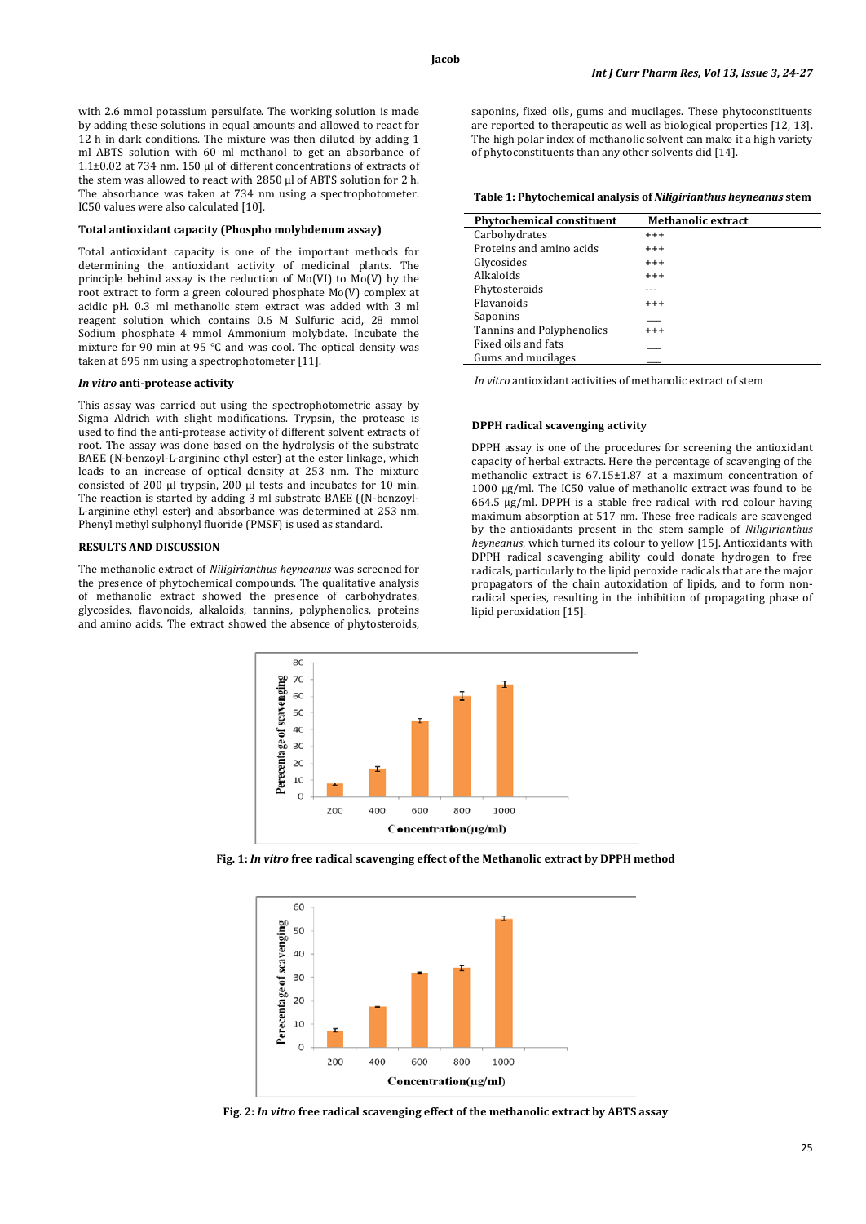with 2.6 mmol potassium persulfate. The working solution is made by adding these solutions in equal amounts and allowed to react for 12 h in dark conditions. The mixture was then diluted by adding 1 ml ABTS solution with 60 ml methanol to get an absorbance of 1.1±0.02 at 734 nm. 150 µl of different concentrations of extracts of the stem was allowed to react with 2850 µl of ABTS solution for 2 h. The absorbance was taken at 734 nm using a spectrophotometer. IC50 values were also calculated [10].

## **Total antioxidant capacity (Phospho molybdenum assay)**

Total antioxidant capacity is one of the important methods for determining the antioxidant activity of medicinal plants. The principle behind assay is the reduction of Mo(VI) to Mo(V) by the root extract to form a green coloured phosphate Mo(V) complex at acidic pH. 0.3 ml methanolic stem extract was added with 3 ml reagent solution which contains 0.6 M Sulfuric acid, 28 mmol Sodium phosphate 4 mmol Ammonium molybdate. Incubate the mixture for 90 min at 95 °C and was cool. The optical density was taken at 695 nm using a spectrophotometer [11].

#### *In vitro* **anti-protease activity**

This assay was carried out using the spectrophotometric assay by Sigma Aldrich with slight modifications. Trypsin, the protease is used to find the anti-protease activity of different solvent extracts of root. The assay was done based on the hydrolysis of the substrate BAEE (N-benzoyl-L-arginine ethyl ester) at the ester linkage, which leads to an increase of optical density at 253 nm. The mixture consisted of 200 µl trypsin, 200 µl tests and incubates for 10 min. The reaction is started by adding 3 ml substrate BAEE ((N-benzoyl-L-arginine ethyl ester) and absorbance was determined at 253 nm. Phenyl methyl sulphonyl fluoride (PMSF) is used as standard.

## **RESULTS AND DISCUSSION**

The methanolic extract of *Niligirianthus heyneanus* was screened for the presence of phytochemical compounds. The qualitative analysis of methanolic extract showed the presence of carbohydrates, glycosides, flavonoids, alkaloids, tannins, polyphenolics, proteins and amino acids. The extract showed the absence of phytosteroids,



**Table 1: Phytochemical analysis of** *Niligirianthus heyneanus* **stem**

| <b>Phytochemical constituent</b> | <b>Methanolic extract</b> |
|----------------------------------|---------------------------|
| Carbohydrates                    | $^{+++}$                  |
| Proteins and amino acids         | $^{+++}$                  |
| Glycosides                       | $^{+++}$                  |
| Alkaloids                        | $^{+++}$                  |
| Phytosteroids                    |                           |
| <b>Flavanoids</b>                | $^{+++}$                  |
| Saponins                         |                           |
| Tannins and Polyphenolics        | $^{+++}$                  |
| Fixed oils and fats              |                           |
| Gums and mucilages               |                           |

*In vitro* antioxidant activities of methanolic extract of stem

#### **DPPH radical scavenging activity**

DPPH assay is one of the procedures for screening the antioxidant capacity of herbal extracts. Here the percentage of scavenging of the methanolic extract is 67.15±1.87 at a maximum concentration of 1000 μg/ml. The IC50 value of methanolic extract was found to be 664.5 µg/ml. DPPH is a stable free radical with red colour having maximum absorption at 517 nm. These free radicals are scavenged by the antioxidants present in the stem sample of *Niligirianthus heyneanus*, which turned its colour to yellow [15]. Antioxidants with DPPH radical scavenging ability could donate hydrogen to free radicals, particularly to the lipid peroxide radicals that are the major propagators of the chain autoxidation of lipids, and to form nonradical species, resulting in the inhibition of propagating phase of lipid peroxidation [15].



**Fig. 1:** *In vitro* **free radical scavenging effect of the Methanolic extract by DPPH method**



**Fig. 2:** *In vitro* **free radical scavenging effect of the methanolic extract by ABTS assay**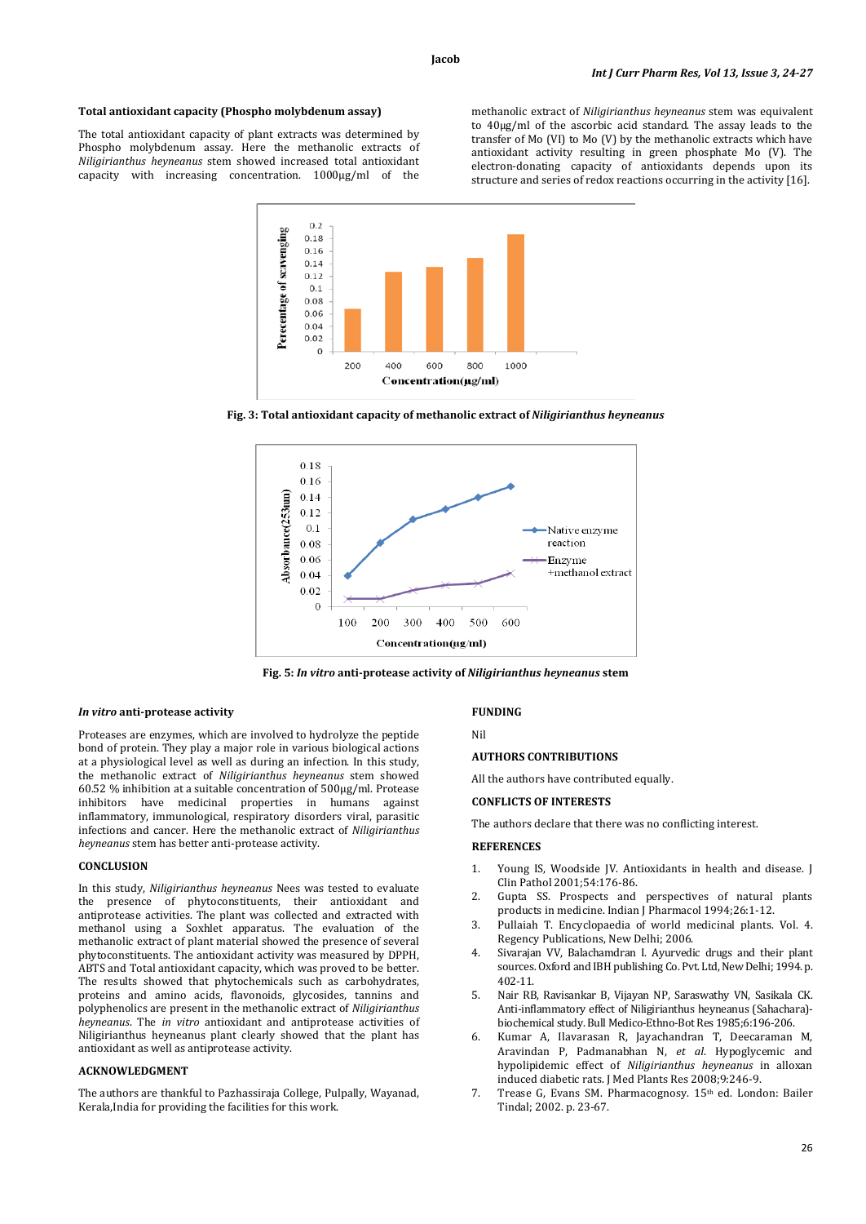### **Total antioxidant capacity (Phospho molybdenum assay)**

The total antioxidant capacity of plant extracts was determined by Phospho molybdenum assay. Here the methanolic extracts of *Niligirianthus heyneanus* stem showed increased total antioxidant capacity with increasing concentration. 1000μg/ml of the

methanolic extract of *Niligirianthus heyneanus* stem was equivalent to 40μg/ml of the ascorbic acid standard. The assay leads to the transfer of Mo (VI) to Mo (V) by the methanolic extracts which have antioxidant activity resulting in green phosphate Mo (V). The electron-donating capacity of antioxidants depends upon its structure and series of redox reactions occurring in the activity [16].



**Fig. 3: Total antioxidant capacity of methanolic extract of** *Niligirianthus heyneanus*



**Fig. 5:** *In vitro* **anti-protease activity of** *Niligirianthus heyneanus* **stem**

## *In vitro* **anti-protease activity**

Proteases are enzymes, which are involved to hydrolyze the peptide bond of protein. They play a major role in various biological actions at a physiological level as well as during an infection. In this study, the methanolic extract of *Niligirianthus heyneanus* stem showed 60.52 % inhibition at a suitable concentration of 500μg/ml. Protease inhibitors have medicinal properties in humans against inflammatory, immunological, respiratory disorders viral, parasitic infections and cancer. Here the methanolic extract of *Niligirianthus heyneanus* stem has better anti-protease activity.

### **CONCLUSION**

In this study, *Niligirianthus heyneanus* Nees was tested to evaluate the presence of phytoconstituents, their antioxidant and antiprotease activities. The plant was collected and extracted with methanol using a Soxhlet apparatus. The evaluation of the methanolic extract of plant material showed the presence of several phytoconstituents. The antioxidant activity was measured by DPPH, ABTS and Total antioxidant capacity, which was proved to be better. The results showed that phytochemicals such as carbohydrates, proteins and amino acids, flavonoids, glycosides, tannins and polyphenolics are present in the methanolic extract of *Niligirianthus heyneanus*. The *in vitro* antioxidant and antiprotease activities of Niligirianthus heyneanus plant clearly showed that the plant has antioxidant as well as antiprotease activity.

#### **ACKNOWLEDGMENT**

The authors are thankful to Pazhassiraja College, Pulpally, Wayanad, Kerala,India for providing the facilities for this work.

#### **FUNDING**

# Nil

#### **AUTHORS CONTRIBUTIONS**

All the authors have contributed equally.

## **CONFLICTS OF INTERESTS**

The authors declare that there was no conflicting interest.

## **REFERENCES**

- 1. Young IS, Woodside JV. Antioxidants in health and disease. J Clin Pathol 2001;54:176-86.
- 2. Gupta SS. Prospects and perspectives of natural plants products in medicine. Indian J Pharmacol 1994;26:1-12.
- 3. Pullaiah T. Encyclopaedia of world medicinal plants. Vol. 4. Regency Publications, New Delhi; 2006.
- 4. Sivarajan VV, Balachamdran I. Ayurvedic drugs and their plant sources. Oxford and IBH publishing Co. Pvt. Ltd, New Delhi; 1994. p. 402-11.
- 5. Nair RB, Ravisankar B, Vijayan NP, Saraswathy VN, Sasikala CK. Anti-inflammatory effect of Niligirianthus heyneanus (Sahachara) biochemical study. Bull Medico-Ethno-Bot Res 1985;6:196-206.
- 6. Kumar A, Ilavarasan R, Jayachandran T, Deecaraman M, Aravindan P, Padmanabhan N, *et al*. Hypoglycemic and hypolipidemic effect of *Niligirianthus heyneanus* in alloxan induced diabetic rats. J Med Plants Res 2008;9:246-9.
- 7. Trease G, Evans SM. Pharmacognosy. 15th ed. London: Bailer Tindal; 2002. p. 23-67.